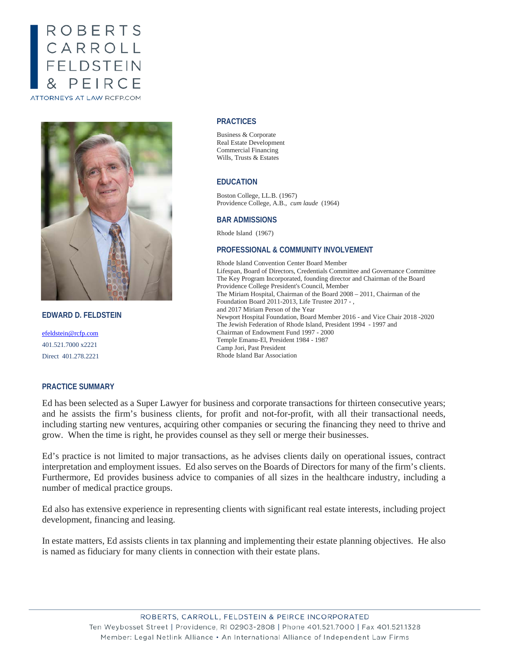# ROBERTS CARROLL<br>FELDSTEIN PEIRC **ATTORNEYS AT LAW RCFP.COM**



**EDWARD D. FELDSTEIN**

[efeldstein@rcfp.com](mailto:efeldstein@rcfp.com) 401.521.7000 x2221 Direct 401.278.2221

# **PRACTICE SUMMARY**

#### **PRACTICES**

Business & Corporate Real Estate Development Commercial Financing Wills, Trusts & Estates

## **EDUCATION**

Boston College, LL.B. (1967) Providence College, A.B., *cum laude* (1964)

## **BAR ADMISSIONS**

Rhode Island (1967)

## **PROFESSIONAL & COMMUNITY INVOLVEMENT**

Rhode Island Convention Center Board Member Lifespan, Board of Directors, Credentials Committee and Governance Committee The Key Program Incorporated, founding director and Chairman of the Board Providence College President's Council, Member The Miriam Hospital, Chairman of the Board 2008 – 2011, Chairman of the Foundation Board 2011-2013, Life Trustee 2017 - , and 2017 Miriam Person of the Year Newport Hospital Foundation, Board Member 2016 - and Vice Chair 2018 -2020 The Jewish Federation of Rhode Island, President 1994 - 1997 and Chairman of Endowment Fund 1997 - 2000 Temple Emanu-El, President 1984 - 1987 Camp Jori, Past President Rhode Island Bar Association

Ed has been selected as a Super Lawyer for business and corporate transactions for thirteen consecutive years; and he assists the firm's business clients, for profit and not-for-profit, with all their transactional needs, including starting new ventures, acquiring other companies or securing the financing they need to thrive and grow. When the time is right, he provides counsel as they sell or merge their businesses.

Ed's practice is not limited to major transactions, as he advises clients daily on operational issues, contract interpretation and employment issues. Ed also serves on the Boards of Directors for many of the firm's clients. Furthermore, Ed provides business advice to companies of all sizes in the healthcare industry, including a number of medical practice groups.

Ed also has extensive experience in representing clients with significant real estate interests, including project development, financing and leasing.

In estate matters, Ed assists clients in tax planning and implementing their estate planning objectives. He also is named as fiduciary for many clients in connection with their estate plans.